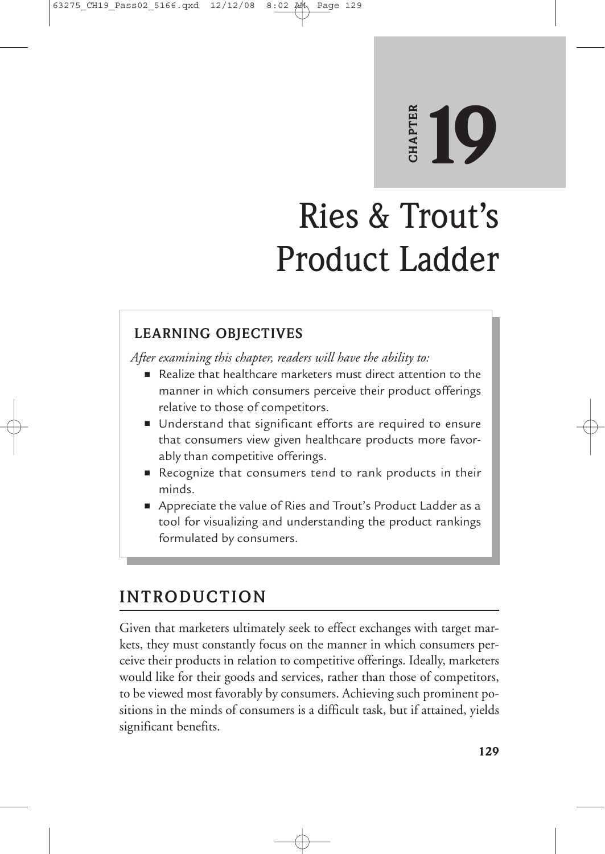#### 63275 CH19 Pass02 5166.qxd 12/12/08 8:02 AM Page 129

# Ries & Trout's Ended States<br>
Ries & Trout's<br>
Product Ladder

# **LEARNING OBJECTIVES**

*After examining this chapter, readers will have the ability to:*

- Realize that healthcare marketers must direct attention to the manner in which consumers perceive their product offerings relative to those of competitors.
- Understand that significant efforts are required to ensure that consumers view given healthcare products more favorably than competitive offerings.
- Recognize that consumers tend to rank products in their minds.
- Appreciate the value of Ries and Trout's Product Ladder as a tool for visualizing and understanding the product rankings formulated by consumers.

# **INTRODUCTION**

Given that marketers ultimately seek to effect exchanges with target markets, they must constantly focus on the manner in which consumers perceive their products in relation to competitive offerings. Ideally, marketers would like for their goods and services, rather than those of competitors, to be viewed most favorably by consumers. Achieving such prominent positions in the minds of consumers is a difficult task, but if attained, yields significant benefits.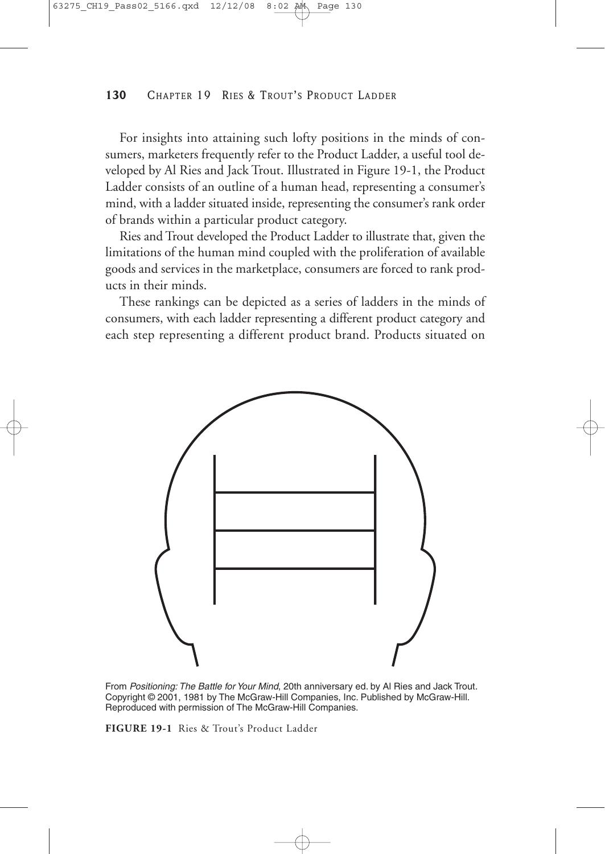#### 130 CHAPTER 19 RIES & TROUT'S PRODUCT LADDER

For insights into attaining such lofty positions in the minds of consumers, marketers frequently refer to the Product Ladder, a useful tool developed by Al Ries and Jack Trout. Illustrated in Figure 19-1, the Product Ladder consists of an outline of a human head, representing a consumer's mind, with a ladder situated inside, representing the consumer's rank order of brands within a particular product category.

Ries and Trout developed the Product Ladder to illustrate that, given the limitations of the human mind coupled with the proliferation of available goods and services in the marketplace, consumers are forced to rank products in their minds.

These rankings can be depicted as a series of ladders in the minds of consumers, with each ladder representing a different product category and each step representing a different product brand. Products situated on



From Positioning: The Battle for Your Mind, 20th anniversary ed. by Al Ries and Jack Trout. Copyright © 2001, 1981 by The McGraw-Hill Companies, Inc. Published by McGraw-Hill. Reproduced with permission of The McGraw-Hill Companies.

**FIGURE 19-1** Ries & Trout's Product Ladder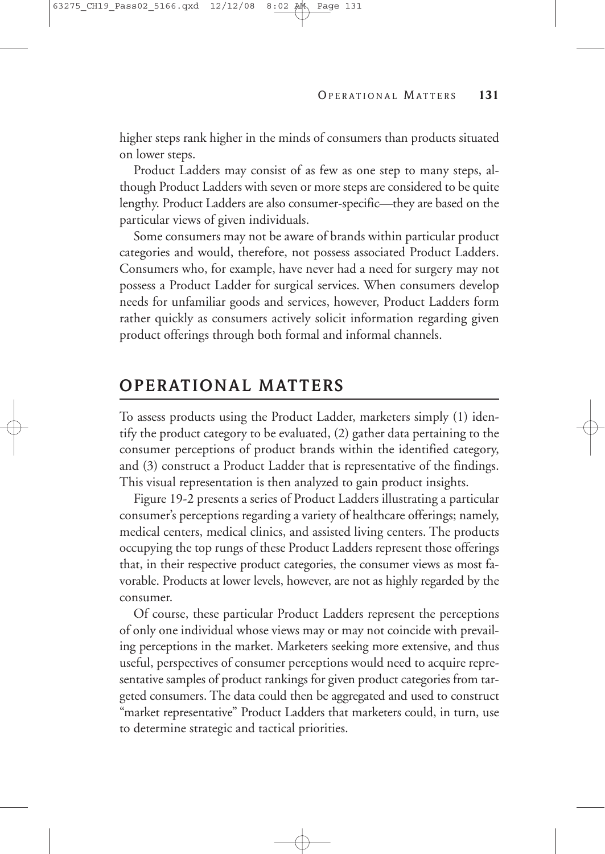higher steps rank higher in the minds of consumers than products situated on lower steps.

Product Ladders may consist of as few as one step to many steps, although Product Ladders with seven or more steps are considered to be quite lengthy. Product Ladders are also consumer-specific—they are based on the particular views of given individuals.

Some consumers may not be aware of brands within particular product categories and would, therefore, not possess associated Product Ladders. Consumers who, for example, have never had a need for surgery may not possess a Product Ladder for surgical services. When consumers develop needs for unfamiliar goods and services, however, Product Ladders form rather quickly as consumers actively solicit information regarding given product offerings through both formal and informal channels.

# **OPERATIONAL MATTERS**

To assess products using the Product Ladder, marketers simply (1) identify the product category to be evaluated, (2) gather data pertaining to the consumer perceptions of product brands within the identified category, and (3) construct a Product Ladder that is representative of the findings. This visual representation is then analyzed to gain product insights.

Figure 19-2 presents a series of Product Ladders illustrating a particular consumer's perceptions regarding a variety of healthcare offerings; namely, medical centers, medical clinics, and assisted living centers. The products occupying the top rungs of these Product Ladders represent those offerings that, in their respective product categories, the consumer views as most favorable. Products at lower levels, however, are not as highly regarded by the consumer.

Of course, these particular Product Ladders represent the perceptions of only one individual whose views may or may not coincide with prevailing perceptions in the market. Marketers seeking more extensive, and thus useful, perspectives of consumer perceptions would need to acquire representative samples of product rankings for given product categories from targeted consumers. The data could then be aggregated and used to construct "market representative" Product Ladders that marketers could, in turn, use to determine strategic and tactical priorities.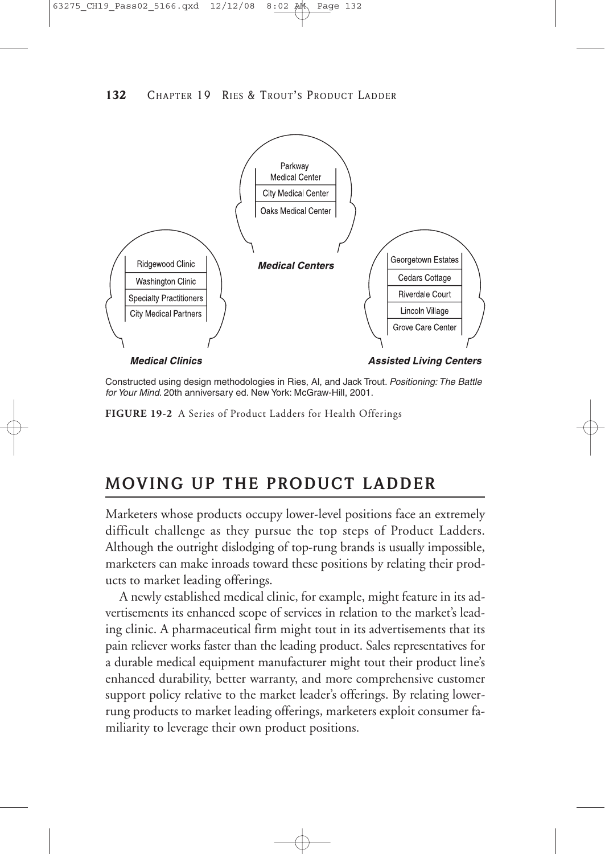

### 132 CHAPTER 19 RIES & TROUT'S PRODUCT LADDER



Constructed using design methodologies in Ries, Al, and Jack Trout. Positioning: The Battle for Your Mind. 20th anniversary ed. New York: McGraw-Hill, 2001.

**FIGURE 19-2** A Series of Product Ladders for Health Offerings

# **MOVING UP THE PRODUCT LADDER**

Marketers whose products occupy lower-level positions face an extremely difficult challenge as they pursue the top steps of Product Ladders. Although the outright dislodging of top-rung brands is usually impossible, marketers can make inroads toward these positions by relating their products to market leading offerings.

A newly established medical clinic, for example, might feature in its advertisements its enhanced scope of services in relation to the market's leading clinic. A pharmaceutical firm might tout in its advertisements that its pain reliever works faster than the leading product. Sales representatives for a durable medical equipment manufacturer might tout their product line's enhanced durability, better warranty, and more comprehensive customer support policy relative to the market leader's offerings. By relating lowerrung products to market leading offerings, marketers exploit consumer familiarity to leverage their own product positions.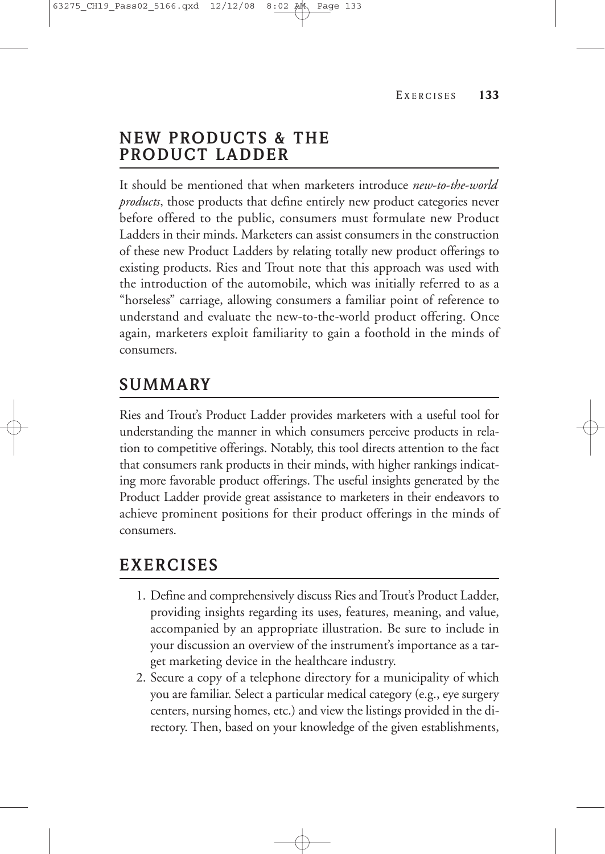# **NEW PRODUCTS & THE PRODUCT LADDER**

It should be mentioned that when marketers introduce *new-to-the-world products*, those products that define entirely new product categories never before offered to the public, consumers must formulate new Product Ladders in their minds. Marketers can assist consumers in the construction of these new Product Ladders by relating totally new product offerings to existing products. Ries and Trout note that this approach was used with the introduction of the automobile, which was initially referred to as a "horseless" carriage, allowing consumers a familiar point of reference to understand and evaluate the new-to-the-world product offering. Once again, marketers exploit familiarity to gain a foothold in the minds of consumers.

# **SUMMARY**

Ries and Trout's Product Ladder provides marketers with a useful tool for understanding the manner in which consumers perceive products in relation to competitive offerings. Notably, this tool directs attention to the fact that consumers rank products in their minds, with higher rankings indicating more favorable product offerings. The useful insights generated by the Product Ladder provide great assistance to marketers in their endeavors to achieve prominent positions for their product offerings in the minds of consumers.

# **EXERCISES**

- 1. Define and comprehensively discuss Ries and Trout's Product Ladder, providing insights regarding its uses, features, meaning, and value, accompanied by an appropriate illustration. Be sure to include in your discussion an overview of the instrument's importance as a target marketing device in the healthcare industry.
- 2. Secure a copy of a telephone directory for a municipality of which you are familiar. Select a particular medical category (e.g., eye surgery centers, nursing homes, etc.) and view the listings provided in the directory. Then, based on your knowledge of the given establishments,